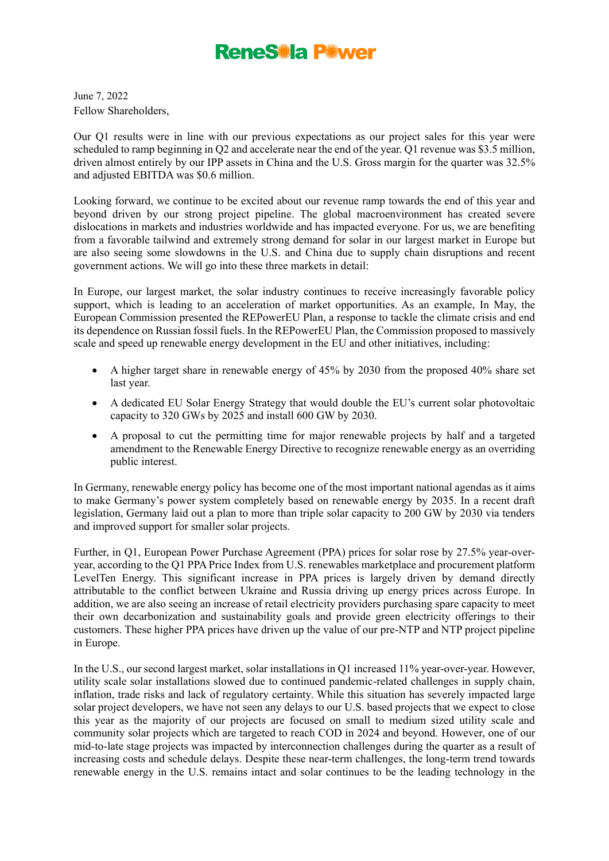June 7, 2022 Fellow Shareholders,

Our Q1 results were in line with our previous expectations as our project sales for this year were scheduled to ramp beginning in Q2 and accelerate near the end of the year. Q1 revenue was \$3.5 million, driven almost entirely by our IPP assets in China and the U.S. Gross margin for the quarter was 32.5% and adjusted EBITDA was \$0.6 million.

Looking forward, we continue to be excited about our revenue ramp towards the end of this year and beyond driven by our strong project pipeline. The global macroenvironment has created severe dislocations in markets and industries worldwide and has impacted everyone. For us, we are benefiting from a favorable tailwind and extremely strong demand for solar in our largest market in Europe but are also seeing some slowdowns in the U.S. and China due to supply chain disruptions and recent government actions. We will go into these three markets in detail:

In Europe, our largest market, the solar industry continues to receive increasingly favorable policy support, which is leading to an acceleration of market opportunities. As an example, In May, the European Commission presented the REPowerEU Plan, a response to tackle the climate crisis and end its dependence on Russian fossil fuels. In the REPowerEU Plan, the Commission proposed to massively scale and speed up renewable energy development in the EU and other initiatives, including:

- A higher target share in renewable energy of 45% by 2030 from the proposed 40% share set last year.
- A dedicated EU Solar Energy Strategy that would double the EU's current solar photovoltaic capacity to 320 GWs by 2025 and install 600 GW by 2030.
- A proposal to cut the permitting time for major renewable projects by half and a targeted amendment to the Renewable Energy Directive to recognize renewable energy as an overriding public interest.

In Germany, renewable energy policy has become one of the most important national agendas as it aims to make Germany's power system completely based on renewable energy by 2035. In a recent draft legislation, Germany laid out a plan to more than triple solar capacity to 200 GW by 2030 via tenders and improved support for smaller solar projects.

Further, in Q1, European Power Purchase Agreement (PPA) prices for solar rose by 27.5% year-overyear, according to the Q1 PPA Price Index from U.S. renewables marketplace and procurement platform LevelTen Energy. This significant increase in PPA prices is largely driven by demand directly attributable to the conflict between Ukraine and Russia driving up energy prices across Europe. In addition, we are also seeing an increase of retail electricity providers purchasing spare capacity to meet their own decarbonization and sustainability goals and provide green electricity offerings to their customers. These higher PPA prices have driven up the value of our pre-NTP and NTP project pipeline in Europe.

In the U.S., our second largest market, solar installations in Q1 increased 11% year-over-year. However, utility scale solar installations slowed due to continued pandemic-related challenges in supply chain, inflation, trade risks and lack of regulatory certainty. While this situation has severely impacted large solar project developers, we have not seen any delays to our U.S. based projects that we expect to close this year as the majority of our projects are focused on small to medium sized utility scale and community solar projects which are targeted to reach COD in 2024 and beyond. However, one of our mid-to-late stage projects was impacted by interconnection challenges during the quarter as a result of increasing costs and schedule delays. Despite these near-term challenges, the long-term trend towards renewable energy in the U.S. remains intact and solar continues to be the leading technology in the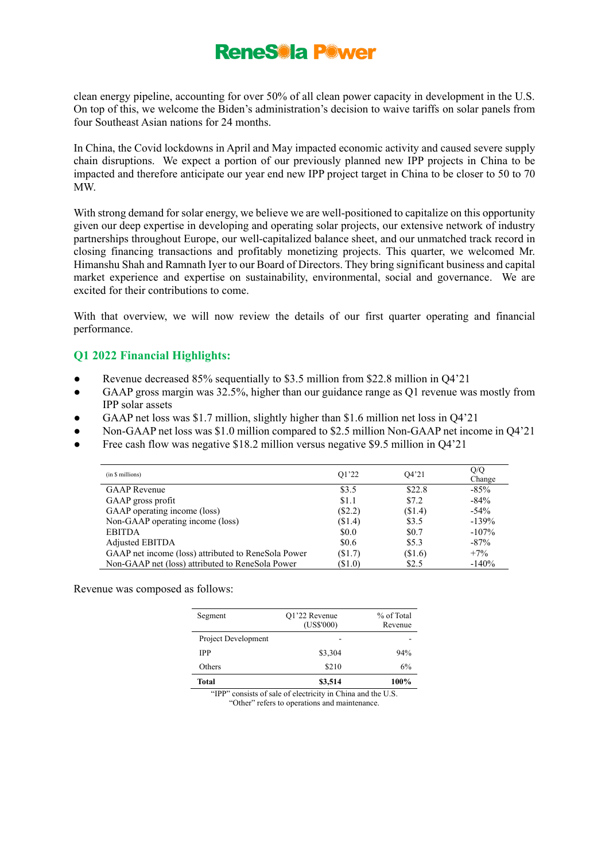clean energy pipeline, accounting for over 50% of all clean power capacity in development in the U.S. On top of this, we welcome the Biden's administration's decision to waive tariffs on solar panels from four Southeast Asian nations for 24 months.

In China, the Covid lockdowns in April and May impacted economic activity and caused severe supply chain disruptions. We expect a portion of our previously planned new IPP projects in China to be impacted and therefore anticipate our year end new IPP project target in China to be closer to 50 to 70 MW.

With strong demand for solar energy, we believe we are well-positioned to capitalize on this opportunity given our deep expertise in developing and operating solar projects, our extensive network of industry partnerships throughout Europe, our well-capitalized balance sheet, and our unmatched track record in closing financing transactions and profitably monetizing projects. This quarter, we welcomed Mr. Himanshu Shah and Ramnath Iyer to our Board of Directors. They bring significant business and capital market experience and expertise on sustainability, environmental, social and governance. We are excited for their contributions to come.

With that overview, we will now review the details of our first quarter operating and financial performance.

### **Q1 2022 Financial Highlights:**

- Revenue decreased 85% sequentially to \$3.5 million from \$22.8 million in Q4'21
- GAAP gross margin was 32.5%, higher than our guidance range as Q1 revenue was mostly from IPP solar assets
- GAAP net loss was \$1.7 million, slightly higher than \$1.6 million net loss in Q4'21
- Non-GAAP net loss was \$1.0 million compared to \$2.5 million Non-GAAP net income in Q4'21
- Free cash flow was negative \$18.2 million versus negative \$9.5 million in O4'21

| (in \$ millions)                                    | O1'22     | Q4'21   | Q/Q<br>Change |
|-----------------------------------------------------|-----------|---------|---------------|
| <b>GAAP</b> Revenue                                 | \$3.5     | \$22.8  | $-85%$        |
| GAAP gross profit                                   | \$1.1     | \$7.2   | $-84%$        |
| GAAP operating income (loss)                        | $(\$2.2)$ | (\$1.4) | $-54\%$       |
| Non-GAAP operating income (loss)                    | (\$1.4)   | \$3.5   | $-139%$       |
| <b>EBITDA</b>                                       | \$0.0     | \$0.7   | $-107%$       |
| Adjusted EBITDA                                     | \$0.6     | \$5.3   | $-87%$        |
| GAAP net income (loss) attributed to ReneSola Power | (\$1.7)   | (\$1.6) | $+7\%$        |
| Non-GAAP net (loss) attributed to ReneSola Power    | (S1.0)    | \$2.5   | $-140%$       |

Revenue was composed as follows:

| Segment             | Q1'22 Revenue<br>(US\$'000) | % of Total<br>Revenue |
|---------------------|-----------------------------|-----------------------|
| Project Development |                             |                       |
| <b>IPP</b>          | \$3,304                     | 94%                   |
| Others              | \$210                       | 6%                    |
| Total               | \$3,514                     | 100%                  |

"IPP" consists of sale of electricity in China and the U.S. "Other" refers to operations and maintenance.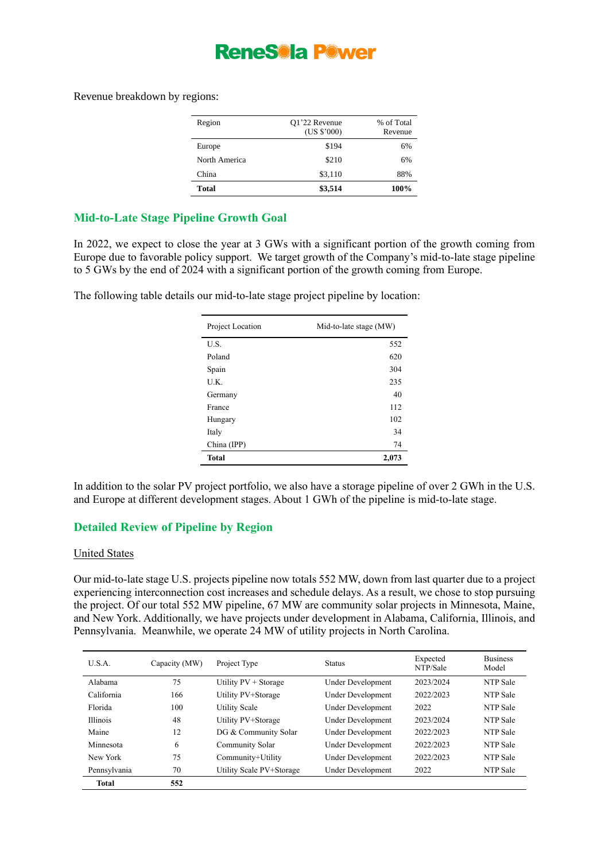Revenue breakdown by regions:

| Region        | Q1'22 Revenue<br>(US \$'000) | % of Total<br>Revenue |
|---------------|------------------------------|-----------------------|
| Europe        | \$194                        | 6%                    |
| North America | \$210                        | 6%                    |
| China         | \$3,110                      | 88%                   |
| Total         | \$3,514                      | 100%                  |

### **Mid-to-Late Stage Pipeline Growth Goal**

In 2022, we expect to close the year at 3 GWs with a significant portion of the growth coming from Europe due to favorable policy support. We target growth of the Company's mid-to-late stage pipeline to 5 GWs by the end of 2024 with a significant portion of the growth coming from Europe.

The following table details our mid-to-late stage project pipeline by location:

| Project Location | Mid-to-late stage (MW) |
|------------------|------------------------|
| U.S.             | 552                    |
| Poland           | 620                    |
| Spain            | 304                    |
| U.K.             | 235                    |
| Germany          | 40                     |
| France           | 112                    |
| Hungary          | 102                    |
| Italy            | 34                     |
| China (IPP)      | 74                     |
| <b>Total</b>     | 2,073                  |

In addition to the solar PV project portfolio, we also have a storage pipeline of over 2 GWh in the U.S. and Europe at different development stages. About 1 GWh of the pipeline is mid-to-late stage.

### **Detailed Review of Pipeline by Region**

#### United States

Our mid-to-late stage U.S. projects pipeline now totals 552 MW, down from last quarter due to a project experiencing interconnection cost increases and schedule delays. As a result, we chose to stop pursuing the project. Of our total 552 MW pipeline, 67 MW are community solar projects in Minnesota, Maine, and New York. Additionally, we have projects under development in Alabama, California, Illinois, and Pennsylvania. Meanwhile, we operate 24 MW of utility projects in North Carolina.

| U.S.A.          | Capacity (MW) | Project Type             | <b>Status</b>     | Expected<br>NTP/Sale | <b>Business</b><br>Model |
|-----------------|---------------|--------------------------|-------------------|----------------------|--------------------------|
| Alabama         | 75            | Utility PV + Storage     | Under Development | 2023/2024            | NTP Sale                 |
| California      | 166           | Utility PV+Storage       | Under Development | 2022/2023            | NTP Sale                 |
| Florida         | 100           | <b>Utility Scale</b>     | Under Development | 2022                 | NTP Sale                 |
| <b>Illinois</b> | 48            | Utility PV+Storage       | Under Development | 2023/2024            | NTP Sale                 |
| Maine           | 12            | DG & Community Solar     | Under Development | 2022/2023            | NTP Sale                 |
| Minnesota       | 6             | Community Solar          | Under Development | 2022/2023            | NTP Sale                 |
| New York        | 75            | Community+Utility        | Under Development | 2022/2023            | NTP Sale                 |
| Pennsylvania    | 70            | Utility Scale PV+Storage | Under Development | 2022                 | NTP Sale                 |
| <b>Total</b>    | 552           |                          |                   |                      |                          |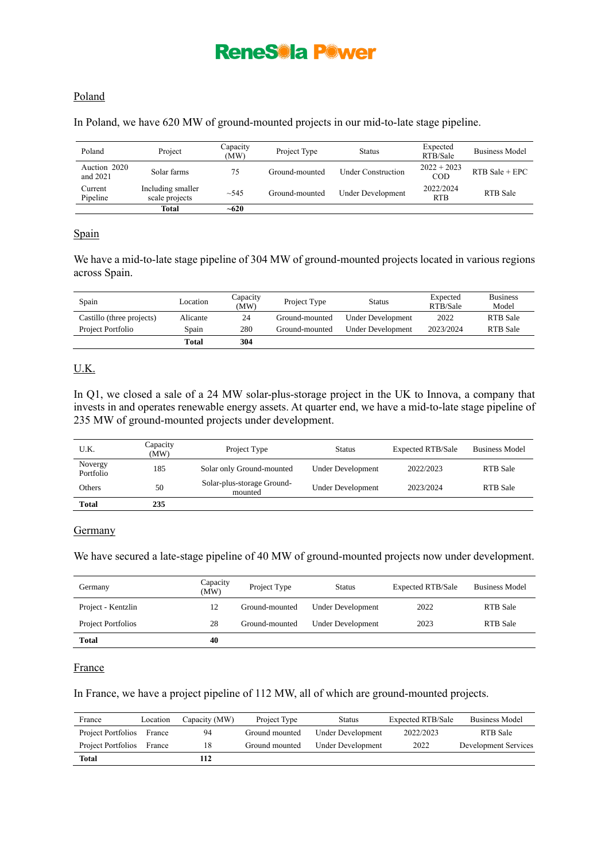### Poland

In Poland, we have 620 MW of ground-mounted projects in our mid-to-late stage pipeline.

| Poland                   | Project                             | Capacity<br>(MW) | Project Type   | <b>Status</b>             | Expected<br>RTB/Sale    | <b>Business Model</b> |
|--------------------------|-------------------------------------|------------------|----------------|---------------------------|-------------------------|-----------------------|
| Auction 2020<br>and 2021 | Solar farms                         | 75               | Ground-mounted | <b>Under Construction</b> | $2022 + 2023$<br>COD    | $RTB$ Sale + EPC      |
| Current<br>Pipeline      | Including smaller<br>scale projects | ~1.545           | Ground-mounted | Under Development         | 2022/2024<br><b>RTB</b> | RTB Sale              |
|                          | <b>Total</b>                        | $~10^{-620}$     |                |                           |                         |                       |

#### Spain

We have a mid-to-late stage pipeline of 304 MW of ground-mounted projects located in various regions across Spain.

| Spain                     | Location | Capacity<br>(MW) | Project Type   | <b>Status</b>     | Expected<br>RTB/Sale | <b>Business</b><br>Model |
|---------------------------|----------|------------------|----------------|-------------------|----------------------|--------------------------|
| Castillo (three projects) | Alicante | 24               | Ground-mounted | Under Development | 2022                 | <b>RTB</b> Sale          |
| Project Portfolio         | Spain    | 280              | Ground-mounted | Under Development | 2023/2024            | <b>RTB</b> Sale          |
|                           | Total    | 304              |                |                   |                      |                          |

### U.K.

In Q1, we closed a sale of a 24 MW solar-plus-storage project in the UK to Innova, a company that invests in and operates renewable energy assets. At quarter end, we have a mid-to-late stage pipeline of 235 MW of ground-mounted projects under development.

| U.K.                 | Capacity<br>(MW) | Project Type                          | <b>Status</b>            | <b>Expected RTB/Sale</b> | <b>Business Model</b> |
|----------------------|------------------|---------------------------------------|--------------------------|--------------------------|-----------------------|
| Novergy<br>Portfolio | 185              | Solar only Ground-mounted             | <b>Under Development</b> | 2022/2023                | <b>RTB</b> Sale       |
| Others               | 50               | Solar-plus-storage Ground-<br>mounted | <b>Under Development</b> | 2023/2024                | <b>RTB</b> Sale       |
| <b>Total</b>         | 235              |                                       |                          |                          |                       |

#### **Germany**

We have secured a late-stage pipeline of 40 MW of ground-mounted projects now under development.

| Germany            | Capacity<br>(MW) | Project Type   | <b>Status</b>            | <b>Expected RTB/Sale</b> | <b>Business Model</b> |
|--------------------|------------------|----------------|--------------------------|--------------------------|-----------------------|
| Project - Kentzlin | 12               | Ground-mounted | Under Development        | 2022                     | <b>RTB</b> Sale       |
| Project Portfolios | 28               | Ground-mounted | <b>Under Development</b> | 2023                     | <b>RTB</b> Sale       |
| <b>Total</b>       | 40               |                |                          |                          |                       |

#### France

In France, we have a project pipeline of 112 MW, all of which are ground-mounted projects.

| France             | Location | Capacity (MW) | Project Type   | Status            | Expected RTB/Sale | <b>Business Model</b> |
|--------------------|----------|---------------|----------------|-------------------|-------------------|-----------------------|
| Project Portfolios | France   | 94            | Ground mounted | Under Development | 2022/2023         | RTB Sale              |
| Project Portfolios | France   | 18            | Ground mounted | Under Development | 2022              | Development Services  |
| Total              |          | 112           |                |                   |                   |                       |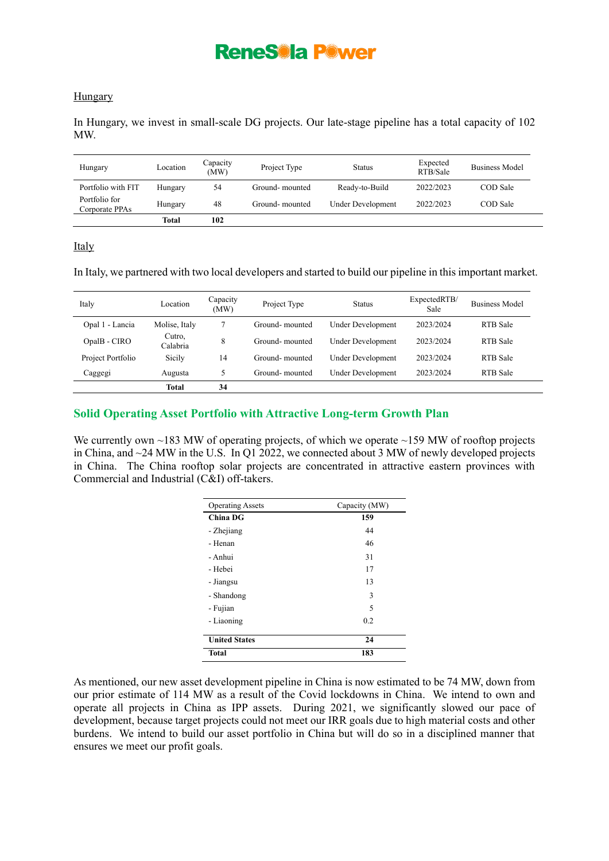#### Hungary

In Hungary, we invest in small-scale DG projects. Our late-stage pipeline has a total capacity of 102 MW.

| Hungary                         | Location | Capacity<br>(MW) | Project Type   | <b>Status</b>     | Expected<br>RTB/Sale | <b>Business Model</b> |
|---------------------------------|----------|------------------|----------------|-------------------|----------------------|-----------------------|
| Portfolio with FIT              | Hungary  | 54               | Ground-mounted | Ready-to-Build    | 2022/2023            | COD Sale              |
| Portfolio for<br>Corporate PPAs | Hungary  | 48               | Ground-mounted | Under Development | 2022/2023            | COD Sale              |
|                                 | Total    | 102              |                |                   |                      |                       |

Italy

In Italy, we partnered with two local developers and started to build our pipeline in this important market.

| Italy             | Location           | Capacity<br>(MW) | Project Type   | <b>Status</b>            | ExpectedRTB/<br>Sale | <b>Business Model</b> |
|-------------------|--------------------|------------------|----------------|--------------------------|----------------------|-----------------------|
| Opal 1 - Lancia   | Molise, Italy      |                  | Ground-mounted | Under Development        | 2023/2024            | RTB Sale              |
| OpalB - CIRO      | Cutro,<br>Calabria | 8                | Ground-mounted | <b>Under Development</b> | 2023/2024            | RTB Sale              |
| Project Portfolio | Sicily             | 14               | Ground-mounted | Under Development        | 2023/2024            | RTB Sale              |
| Caggegi           | Augusta            | 5                | Ground-mounted | <b>Under Development</b> | 2023/2024            | RTB Sale              |
|                   | <b>Total</b>       | 34               |                |                          |                      |                       |

#### **Solid Operating Asset Portfolio with Attractive Long-term Growth Plan**

We currently own  $\sim$ 183 MW of operating projects, of which we operate  $\sim$ 159 MW of rooftop projects in China, and ~24 MW in the U.S. In Q1 2022, we connected about 3 MW of newly developed projects in China. The China rooftop solar projects are concentrated in attractive eastern provinces with Commercial and Industrial (C&I) off-takers.

| <b>Operating Assets</b> | Capacity (MW) |
|-------------------------|---------------|
| <b>China DG</b>         | 159           |
| - Zhejiang              | 44            |
| - Henan                 | 46            |
| - Anhui                 | 31            |
| - Hebei                 | 17            |
| - Jiangsu               | 13            |
| - Shandong              | 3             |
| - Fujian                | 5             |
| - Liaoning              | 0.2           |
|                         |               |
| <b>United States</b>    | 24            |
| <b>Total</b>            | 183           |

As mentioned, our new asset development pipeline in China is now estimated to be 74 MW, down from our prior estimate of 114 MW as a result of the Covid lockdowns in China. We intend to own and operate all projects in China as IPP assets. During 2021, we significantly slowed our pace of development, because target projects could not meet our IRR goals due to high material costs and other burdens. We intend to build our asset portfolio in China but will do so in a disciplined manner that ensures we meet our profit goals.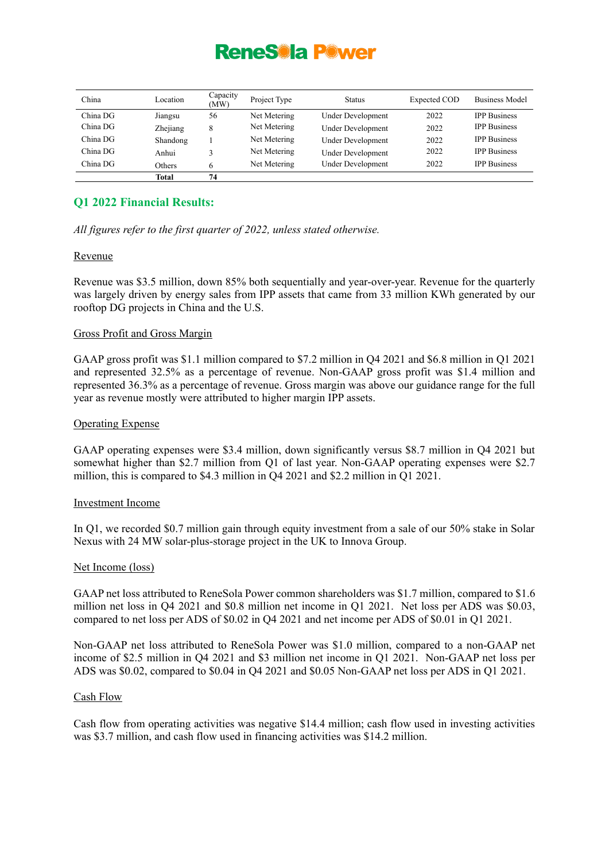| China    | Location | Capacity<br>(MW) | Project Type | <b>Status</b>            | Expected COD | <b>Business Model</b> |
|----------|----------|------------------|--------------|--------------------------|--------------|-----------------------|
| China DG | Jiangsu  | 56               | Net Metering | Under Development        | 2022         | <b>IPP Business</b>   |
| China DG | Zhejiang | 8                | Net Metering | <b>Under Development</b> | 2022         | <b>IPP Business</b>   |
| China DG | Shandong |                  | Net Metering | <b>Under Development</b> | 2022         | <b>IPP Business</b>   |
| China DG | Anhui    | 3                | Net Metering | <b>Under Development</b> | 2022         | <b>IPP Business</b>   |
| China DG | Others   | 6                | Net Metering | Under Development        | 2022         | <b>IPP Business</b>   |
|          | Total    | 74               |              |                          |              |                       |

### **Q1 2022 Financial Results:**

*All figures refer to the first quarter of 2022, unless stated otherwise.*

#### Revenue

Revenue was \$3.5 million, down 85% both sequentially and year-over-year. Revenue for the quarterly was largely driven by energy sales from IPP assets that came from 33 million KWh generated by our rooftop DG projects in China and the U.S.

#### Gross Profit and Gross Margin

GAAP gross profit was \$1.1 million compared to \$7.2 million in Q4 2021 and \$6.8 million in Q1 2021 and represented 32.5% as a percentage of revenue. Non-GAAP gross profit was \$1.4 million and represented 36.3% as a percentage of revenue. Gross margin was above our guidance range for the full year as revenue mostly were attributed to higher margin IPP assets.

#### Operating Expense

GAAP operating expenses were \$3.4 million, down significantly versus \$8.7 million in Q4 2021 but somewhat higher than \$2.7 million from Q1 of last year. Non-GAAP operating expenses were \$2.7 million, this is compared to \$4.3 million in Q4 2021 and \$2.2 million in Q1 2021.

#### Investment Income

In Q1, we recorded \$0.7 million gain through equity investment from a sale of our 50% stake in Solar Nexus with 24 MW solar-plus-storage project in the UK to Innova Group.

#### Net Income (loss)

GAAP net loss attributed to ReneSola Power common shareholders was \$1.7 million, compared to \$1.6 million net loss in Q4 2021 and \$0.8 million net income in Q1 2021. Net loss per ADS was \$0.03, compared to net loss per ADS of \$0.02 in Q4 2021 and net income per ADS of \$0.01 in Q1 2021.

Non-GAAP net loss attributed to ReneSola Power was \$1.0 million, compared to a non-GAAP net income of \$2.5 million in Q4 2021 and \$3 million net income in Q1 2021. Non-GAAP net loss per ADS was \$0.02, compared to \$0.04 in Q4 2021 and \$0.05 Non-GAAP net loss per ADS in Q1 2021.

#### Cash Flow

Cash flow from operating activities was negative \$14.4 million; cash flow used in investing activities was \$3.7 million, and cash flow used in financing activities was \$14.2 million.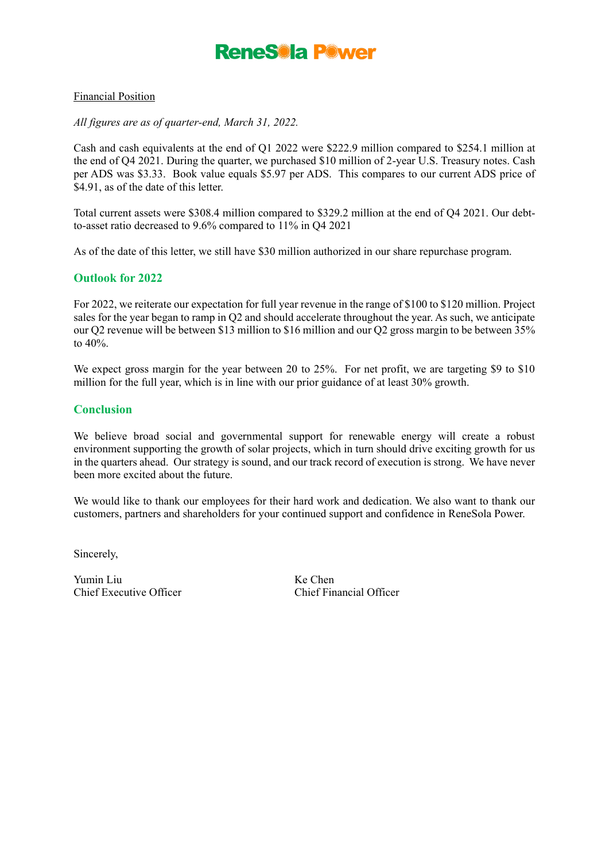#### Financial Position

#### *All figures are as of quarter-end, March 31, 2022.*

Cash and cash equivalents at the end of Q1 2022 were \$222.9 million compared to \$254.1 million at the end of Q4 2021. During the quarter, we purchased \$10 million of 2-year U.S. Treasury notes. Cash per ADS was \$3.33. Book value equals \$5.97 per ADS. This compares to our current ADS price of \$4.91, as of the date of this letter.

Total current assets were \$308.4 million compared to \$329.2 million at the end of Q4 2021. Our debtto-asset ratio decreased to 9.6% compared to 11% in Q4 2021

As of the date of this letter, we still have \$30 million authorized in our share repurchase program.

#### **Outlook for 2022**

For 2022, we reiterate our expectation for full year revenue in the range of \$100 to \$120 million. Project sales for the year began to ramp in Q2 and should accelerate throughout the year. As such, we anticipate our Q2 revenue will be between \$13 million to \$16 million and our Q2 gross margin to be between 35% to 40%.

We expect gross margin for the year between 20 to 25%. For net profit, we are targeting \$9 to \$10 million for the full year, which is in line with our prior guidance of at least 30% growth.

#### **Conclusion**

We believe broad social and governmental support for renewable energy will create a robust environment supporting the growth of solar projects, which in turn should drive exciting growth for us in the quarters ahead. Our strategy is sound, and our track record of execution is strong. We have never been more excited about the future.

We would like to thank our employees for their hard work and dedication. We also want to thank our customers, partners and shareholders for your continued support and confidence in ReneSola Power.

Sincerely,

Yumin Liu Ke Chen Chief Executive Officer Chief Financial Officer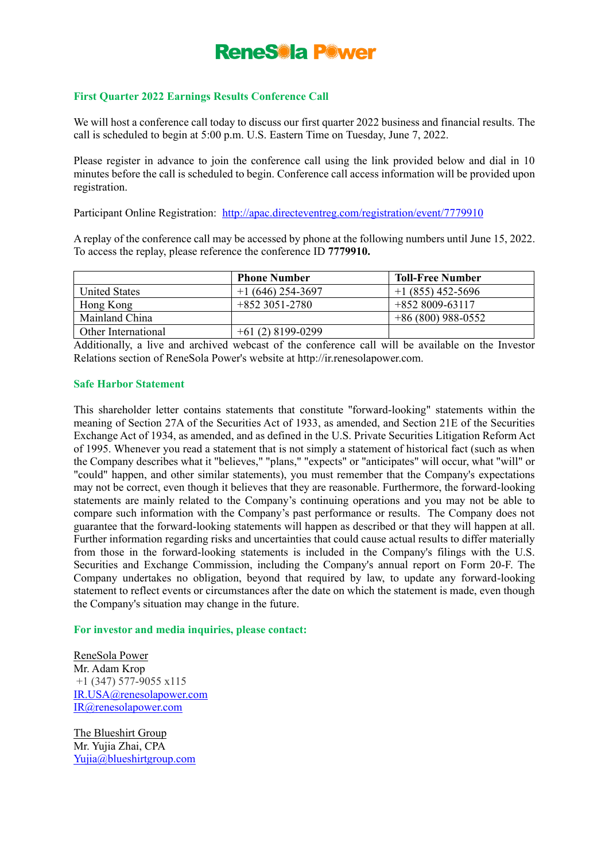#### **First Quarter 2022 Earnings Results Conference Call**

We will host a conference call today to discuss our first quarter 2022 business and financial results. The call is scheduled to begin at 5:00 p.m. U.S. Eastern Time on Tuesday, June 7, 2022.

Please register in advance to join the conference call using the link provided below and dial in 10 minutes before the call is scheduled to begin. Conference call access information will be provided upon registration.

Participant Online Registration: <http://apac.directeventreg.com/registration/event/7779910>

A replay of the conference call may be accessed by phone at the following numbers until June 15, 2022. To access the replay, please reference the conference ID **7779910.**

|                      | <b>Phone Number</b> | Toll-Free Number   |
|----------------------|---------------------|--------------------|
| <b>United States</b> | $+1(646)$ 254-3697  | $+1(855)$ 452-5696 |
| Hong Kong            | $+8523051-2780$     | $+8528009-63117$   |
| Mainland China       |                     | $+86(800)988-0552$ |
| Other International  | $+61(2)8199-0299$   |                    |

Additionally, a live and archived webcast of the conference call will be available on the Investor Relations section of ReneSola Power's website at [http://ir.renesolapower.com.](http://ir.renesolapower.com/)

#### **Safe Harbor Statement**

This shareholder letter contains statements that constitute ''forward-looking" statements within the meaning of Section 27A of the Securities Act of 1933, as amended, and Section 21E of the Securities Exchange Act of 1934, as amended, and as defined in the U.S. Private Securities Litigation Reform Act of 1995. Whenever you read a statement that is not simply a statement of historical fact (such as when the Company describes what it "believes," "plans," "expects" or "anticipates" will occur, what "will" or "could" happen, and other similar statements), you must remember that the Company's expectations may not be correct, even though it believes that they are reasonable. Furthermore, the forward-looking statements are mainly related to the Company's continuing operations and you may not be able to compare such information with the Company's past performance or results. The Company does not guarantee that the forward-looking statements will happen as described or that they will happen at all. Further information regarding risks and uncertainties that could cause actual results to differ materially from those in the forward-looking statements is included in the Company's filings with the U.S. Securities and Exchange Commission, including the Company's annual report on Form 20-F. The Company undertakes no obligation, beyond that required by law, to update any forward-looking statement to reflect events or circumstances after the date on which the statement is made, even though the Company's situation may change in the future.

#### **For investor and media inquiries, please contact:**

ReneSola Power Mr. Adam Krop +1 (347) 577-9055 x115 [IR.USA@renesolapower.com](mailto:IR.USA@renesolapower.com) [IR@renesolapower.com](mailto:IR@renesolapower.com)

The Blueshirt Group Mr. Yujia Zhai, CPA [Yujia@blueshirtgroup.com](mailto:Yujia@blueshirtgroup.com)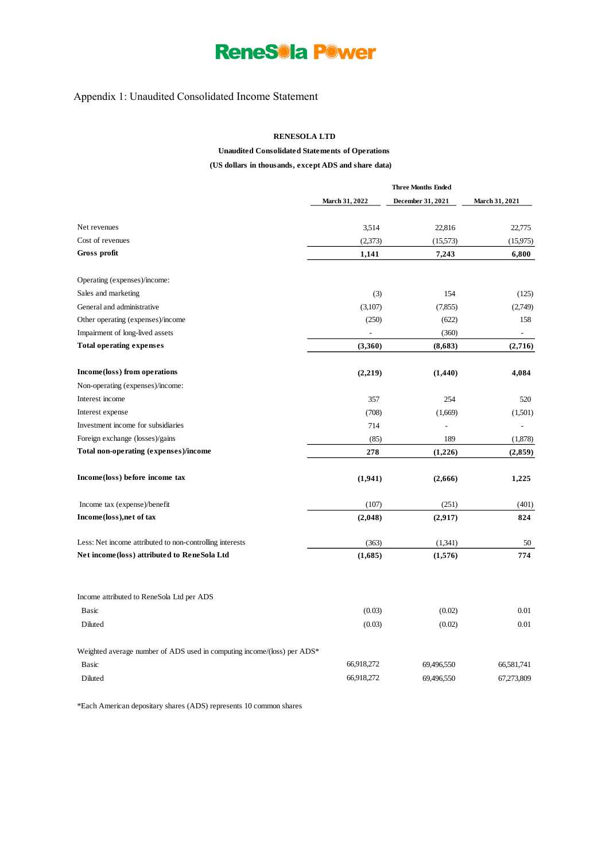### Appendix 1: Unaudited Consolidated Income Statement

#### **RENESOLA LTD**

### **Unaudited Consolidated Statements of Operations**

### **(US dollars in thousands, except ADS and share data)**

|                                                                         | <b>Three Months Ended</b> |                   |                          |  |
|-------------------------------------------------------------------------|---------------------------|-------------------|--------------------------|--|
|                                                                         | March 31, 2022            | December 31, 2021 | <b>March 31, 2021</b>    |  |
| Net revenues                                                            | 3,514                     | 22,816            | 22,775                   |  |
| Cost of revenues                                                        | (2,373)                   | (15, 573)         | (15, 975)                |  |
| Gross profit                                                            | 1,141                     | 7,243             | 6,800                    |  |
| Operating (expenses)/income:                                            |                           |                   |                          |  |
| Sales and marketing                                                     | (3)                       | 154               | (125)                    |  |
| General and administrative                                              | (3,107)                   | (7,855)           | (2,749)                  |  |
| Other operating (expenses)/income                                       | (250)                     | (622)             | 158                      |  |
| Impairment of long-lived assets                                         |                           | (360)             | $\overline{\phantom{a}}$ |  |
| <b>Total operating expenses</b>                                         | (3,360)                   | (8,683)           | (2,716)                  |  |
| Income (loss) from operations                                           | (2,219)                   | (1,440)           | 4,084                    |  |
| Non-operating (expenses)/income:                                        |                           |                   |                          |  |
| Interest income                                                         | 357                       | 254               | 520                      |  |
| Interest expense                                                        | (708)                     | (1,669)           | (1,501)                  |  |
| Investment income for subsidiaries                                      | 714                       |                   |                          |  |
| Foreign exchange (losses)/gains                                         | (85)                      | 189               | (1,878)                  |  |
| Total non-operating (expenses)/income                                   | 278                       | (1,226)           | (2,859)                  |  |
| Income (loss) before income tax                                         | (1,941)                   | (2,666)           | 1,225                    |  |
| Income tax (expense)/benefit                                            | (107)                     | (251)             | (401)                    |  |
| Income (loss), net of tax                                               | (2,048)                   | (2,917)           | 824                      |  |
| Less: Net income attributed to non-controlling interests                | (363)                     | (1,341)           | 50                       |  |
| Net income(loss) attributed to ReneSola Ltd                             | (1,685)                   | (1,576)           | 774                      |  |
| Income attributed to ReneSola Ltd per ADS                               |                           |                   |                          |  |
| Basic                                                                   | (0.03)                    | (0.02)            | 0.01                     |  |
| Diluted                                                                 | (0.03)                    | (0.02)            | 0.01                     |  |
| Weighted average number of ADS used in computing income/(loss) per ADS* |                           |                   |                          |  |
| Basic                                                                   | 66,918,272                | 69,496,550        | 66,581,741               |  |
| Diluted                                                                 | 66,918,272                | 69,496,550        | 67,273,809               |  |

\*Each American depositary shares (ADS) represents 10 common shares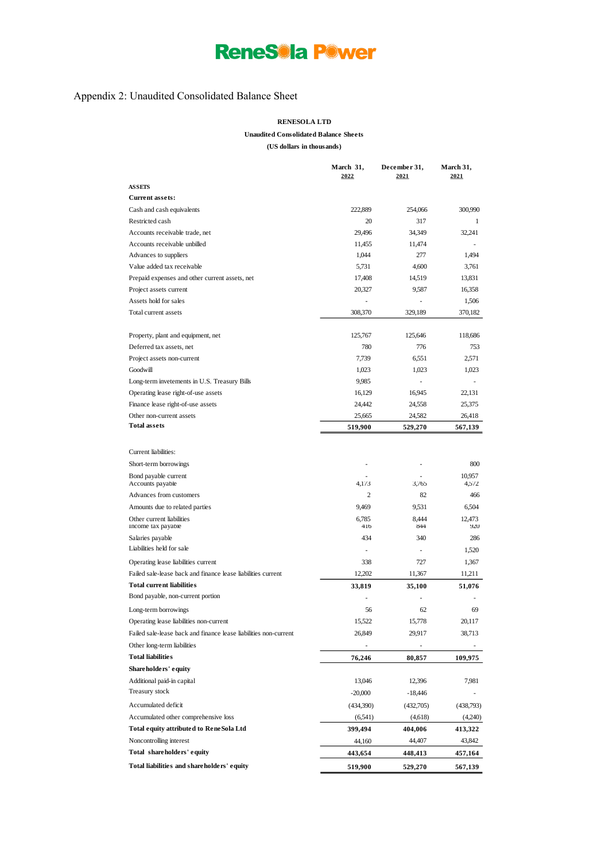### Appendix 2: Unaudited Consolidated Balance Sheet

#### **RENESOLA LTD**

**Unaudited Consolidated Balance Sheets**

**(US dollars in thousands)**

|                                                                  | March 31,<br>2022 | December 31,<br>2021 | March 31,<br>2021 |
|------------------------------------------------------------------|-------------------|----------------------|-------------------|
| <b>ASSETS</b>                                                    |                   |                      |                   |
| <b>Current assets:</b>                                           |                   |                      |                   |
| Cash and cash equivalents                                        | 222,889           | 254,066              | 300,990           |
| Restricted cash                                                  | 20                | 317                  | 1                 |
| Accounts receivable trade, net                                   | 29,496            | 34,349               | 32,241            |
| Accounts receivable unbilled                                     | 11,455            | 11,474               |                   |
| Advances to suppliers                                            | 1,044             | 277                  | 1,494             |
| Value added tax receivable                                       | 5,731             | 4,600                | 3,761             |
| Prepaid expenses and other current assets, net                   | 17,408            | 14,519               | 13.831            |
| Project assets current                                           | 20,327            | 9,587                | 16,358            |
| Assets hold for sales                                            |                   |                      | 1,506             |
| Total current assets                                             | 308,370           | 329,189              | 370,182           |
| Property, plant and equipment, net                               | 125,767           | 125,646              | 118,686           |
| Deferred tax assets, net                                         | 780               | 776                  | 753               |
| Project assets non-current                                       | 7,739             | 6,551                | 2,571             |
| Goodwill                                                         | 1,023             | 1,023                | 1,023             |
| Long-term invetements in U.S. Treasury Bills                     | 9,985             |                      |                   |
| Operating lease right-of-use assets                              | 16,129            | 16,945               | 22,131            |
| Finance lease right-of-use assets                                | 24,442            | 24,558               | 25,375            |
| Other non-current assets                                         | 25,665            | 24,582               | 26,418            |
| <b>Total assets</b>                                              | 519,900           | 529,270              | 567,139           |
|                                                                  |                   |                      |                   |
| Current liabilities:                                             |                   |                      |                   |
| Short-term borrowings                                            |                   |                      | 800               |
| Bond payable current                                             |                   |                      | 10,957            |
| Accounts payable                                                 | 4,173             | 3,765                | 4,572             |
| Advances from customers                                          | $\overline{c}$    | 82                   | 466               |
| Amounts due to related parties                                   | 9,469             | 9,531                | 6,504             |
| Other current liabilities<br>Income tax payable                  | 6,785<br>416      | 8,444<br>844         | 12,473<br>920     |
| Salaries payable                                                 | 434               | 340                  | 286               |
| Liabilities held for sale                                        |                   |                      | 1,520             |
| Operating lease liabilities current                              | 338               | 727                  | 1,367             |
| Failed sale-lease back and finance lease liabilities current     | 12,202            | 11,367               | 11,211            |
| <b>Total current liabilities</b>                                 | 33,819            | 35,100               | 51,076            |
| Bond payable, non-current portion                                |                   |                      |                   |
| Long-term borrowings                                             | 56                | 62                   | 69                |
| Operating lease liabilities non-current                          | 15,522            | 15,778               | 20,117            |
| Failed sale-lease back and finance lease liabilities non-current |                   | 29,917               |                   |
|                                                                  | 26,849            |                      | 38,713            |
| Other long-term liabilities                                      |                   |                      |                   |
| <b>Total liabilities</b>                                         | 76,246            | 80,857               | 109,975           |
| Shareholders' equity                                             |                   |                      |                   |
| Additional paid-in capital<br>Treasury stock                     | 13,046            | 12,396               | 7,981             |
|                                                                  | $-20,000$         | -18,446              |                   |
| Accumulated deficit                                              | (434,390)         | (432,705)            | (438,793)         |
| Accumulated other comprehensive loss                             | (6,541)           | (4,618)              | (4,240)           |
| Total equity attributed to ReneSola Ltd                          | 399,494           | 404,006              | 413,322           |
| Noncontrolling interest                                          | 44,160            | 44,407               | 43,842            |
| Total shareholders' equity                                       | 443,654           | 448,413              | 457,164           |
| Total liabilities and shareholders' equity                       | 519,900           | 529,270              | 567,139           |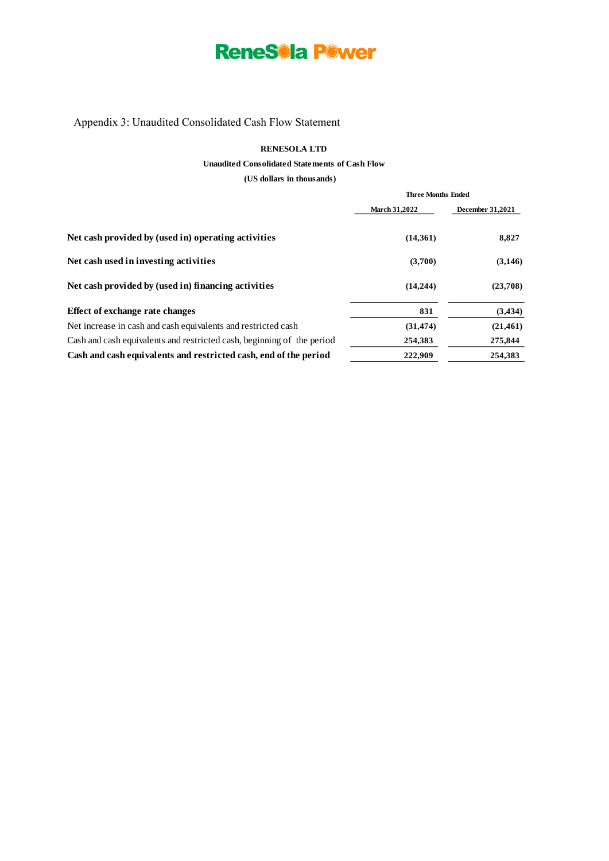### Appendix 3: Unaudited Consolidated Cash Flow Statement

#### **RENESOLA LTD**

#### **Unaudited Consolidated Statements of Cash Flow**

**(US dollars in thousands)** 

|                                                                        |                      | <b>Three Months Ended</b> |  |  |
|------------------------------------------------------------------------|----------------------|---------------------------|--|--|
|                                                                        | <b>March 31,2022</b> | December 31,2021          |  |  |
| Net cash provided by (used in) operating activities                    | (14,361)             | 8,827                     |  |  |
| Net cash used in investing activities                                  | (3,700)              | (3, 146)                  |  |  |
| Net cash provided by (used in) financing activities                    | (14, 244)            | (23,708)                  |  |  |
| Effect of exchange rate changes                                        | 831                  | (3, 434)                  |  |  |
| Net increase in cash and cash equivalents and restricted cash          | (31, 474)            | (21, 461)                 |  |  |
| Cash and cash equivalents and restricted cash, beginning of the period | 254,383              | 275,844                   |  |  |
| Cash and cash equivalents and restricted cash, end of the period       | 222.909              | 254,383                   |  |  |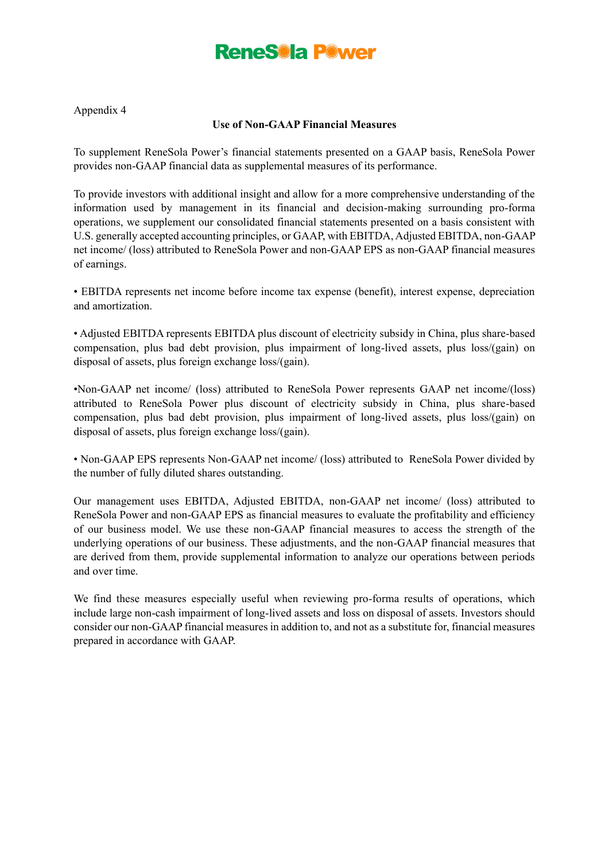Appendix 4

#### **Use of Non-GAAP Financial Measures**

To supplement ReneSola Power's financial statements presented on a GAAP basis, ReneSola Power provides non-GAAP financial data as supplemental measures of its performance.

To provide investors with additional insight and allow for a more comprehensive understanding of the information used by management in its financial and decision-making surrounding pro-forma operations, we supplement our consolidated financial statements presented on a basis consistent with U.S. generally accepted accounting principles, or GAAP, with EBITDA, Adjusted EBITDA, non-GAAP net income/ (loss) attributed to ReneSola Power and non-GAAP EPS as non-GAAP financial measures of earnings.

• EBITDA represents net income before income tax expense (benefit), interest expense, depreciation and amortization.

• Adjusted EBITDA represents EBITDA plus discount of electricity subsidy in China, plus share-based compensation, plus bad debt provision, plus impairment of long-lived assets, plus loss/(gain) on disposal of assets, plus foreign exchange loss/(gain).

•Non-GAAP net income/ (loss) attributed to ReneSola Power represents GAAP net income/(loss) attributed to ReneSola Power plus discount of electricity subsidy in China, plus share-based compensation, plus bad debt provision, plus impairment of long-lived assets, plus loss/(gain) on disposal of assets, plus foreign exchange loss/(gain).

• Non-GAAP EPS represents Non-GAAP net income/ (loss) attributed to ReneSola Power divided by the number of fully diluted shares outstanding.

Our management uses EBITDA, Adjusted EBITDA, non-GAAP net income/ (loss) attributed to ReneSola Power and non-GAAP EPS as financial measures to evaluate the profitability and efficiency of our business model. We use these non-GAAP financial measures to access the strength of the underlying operations of our business. These adjustments, and the non-GAAP financial measures that are derived from them, provide supplemental information to analyze our operations between periods and over time.

We find these measures especially useful when reviewing pro-forma results of operations, which include large non-cash impairment of long-lived assets and loss on disposal of assets. Investors should consider our non-GAAP financial measures in addition to, and not as a substitute for, financial measures prepared in accordance with GAAP.